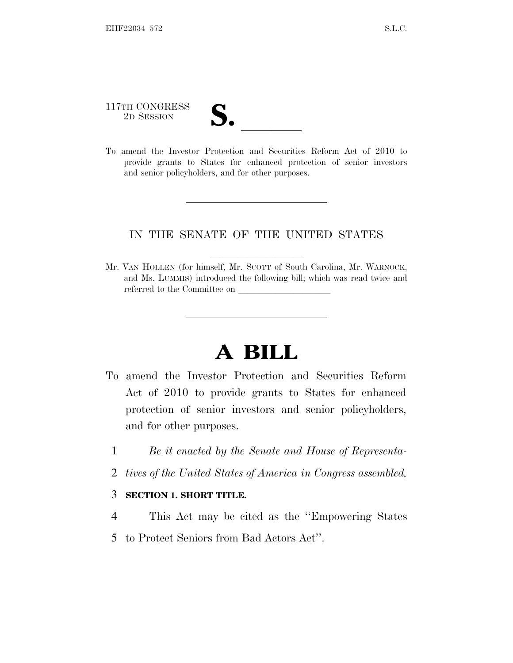117TH CONGRESS

117TH CONGRESS<br>
2D SESSION<br>
To amend the Investor Protection and Securities Reform Act of 2010 to provide grants to States for enhanced protection of senior investors and senior policyholders, and for other purposes.

## IN THE SENATE OF THE UNITED STATES

Mr. VAN HOLLEN (for himself, Mr. SCOTT of South Carolina, Mr. WARNOCK, and Ms. LUMMIS) introduced the following bill; which was read twice and referred to the Committee on

## **A BILL**

- To amend the Investor Protection and Securities Reform Act of 2010 to provide grants to States for enhanced protection of senior investors and senior policyholders, and for other purposes.
	- 1 *Be it enacted by the Senate and House of Representa-*
	- 2 *tives of the United States of America in Congress assembled,*

## 3 **SECTION 1. SHORT TITLE.**

- 4 This Act may be cited as the ''Empowering States
- 5 to Protect Seniors from Bad Actors Act''.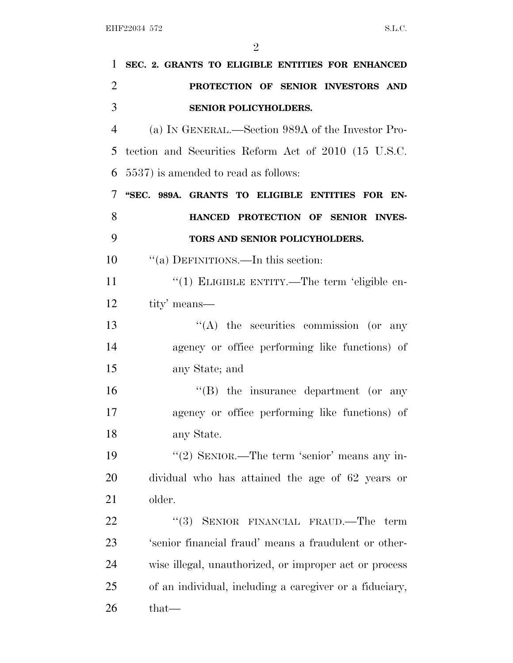| 1              | SEC. 2. GRANTS TO ELIGIBLE ENTITIES FOR ENHANCED        |
|----------------|---------------------------------------------------------|
| $\overline{2}$ | PROTECTION OF SENIOR INVESTORS AND                      |
| 3              | SENIOR POLICYHOLDERS.                                   |
| 4              | (a) IN GENERAL.—Section 989A of the Investor Pro-       |
| 5              | tection and Securities Reform Act of 2010 (15 U.S.C.    |
| 6              | 5537) is amended to read as follows:                    |
| 7              | "SEC. 989A. GRANTS TO ELIGIBLE ENTITIES FOR EN-         |
| 8              | HANCED PROTECTION OF SENIOR INVES-                      |
| 9              | TORS AND SENIOR POLICYHOLDERS.                          |
| 10             | "(a) DEFINITIONS.—In this section:                      |
| 11             | "(1) ELIGIBLE ENTITY.—The term 'eligible en-            |
| 12             | tity' means—                                            |
| 13             | $\lq\lq$ the securities commission (or any              |
| 14             | agency or office performing like functions) of          |
| 15             | any State; and                                          |
| 16             | $\lq\lq$ the insurance department (or any               |
| 17             | agency or office performing like functions) of          |
| 18             | any State.                                              |
| 19             | "(2) SENIOR.—The term 'senior' means any in-            |
| <b>20</b>      | dividual who has attained the age of 62 years or        |
| 21             | older.                                                  |
| 22             | "(3) SENIOR FINANCIAL FRAUD.—The term                   |
| 23             | 'senior financial fraud' means a fraudulent or other-   |
| 24             | wise illegal, unauthorized, or improper act or process  |
| 25             | of an individual, including a caregiver or a fiduciary, |
| 26             | that—                                                   |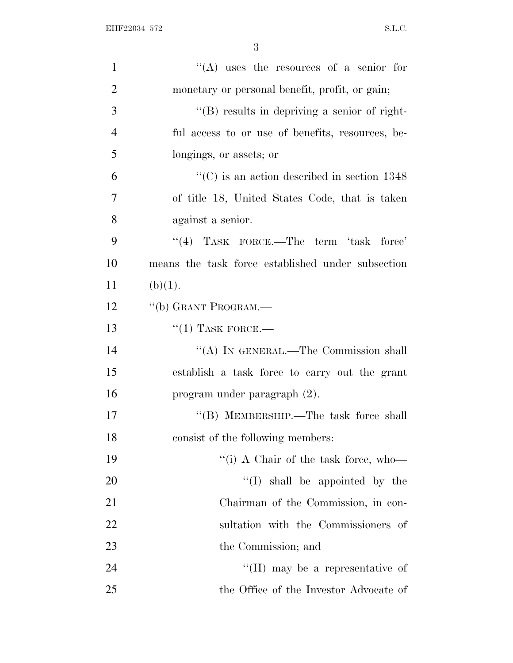| $\mathbf{1}$   | "(A) uses the resources of a senior for                 |
|----------------|---------------------------------------------------------|
| $\overline{2}$ | monetary or personal benefit, profit, or gain;          |
| 3              | $\lq\lq(B)$ results in depriving a senior of right-     |
| $\overline{4}$ | ful access to or use of benefits, resources, be-        |
| 5              | longings, or assets; or                                 |
| 6              | $\cdot\cdot$ (C) is an action described in section 1348 |
| 7              | of title 18, United States Code, that is taken          |
| 8              | against a senior.                                       |
| 9              | "(4) TASK FORCE.—The term 'task force'                  |
| 10             | means the task force established under subsection       |
| 11             | (b)(1).                                                 |
| 12             | "(b) GRANT PROGRAM.—                                    |
| 13             | $``(1)$ TASK FORCE.—                                    |
| 14             | "(A) IN GENERAL.—The Commission shall                   |
| 15             | establish a task force to carry out the grant           |
| 16             | program under paragraph $(2)$ .                         |
| 17             | "(B) MEMBERSHIP.—The task force shall                   |
| 18             | consist of the following members:                       |
| 19             | "(i) A Chair of the task force, who—                    |
| 20             | "(I) shall be appointed by the                          |
| 21             | Chairman of the Commission, in con-                     |
| 22             | sultation with the Commissioners of                     |
| 23             | the Commission; and                                     |
| 24             | "(II) may be a representative of                        |
| 25             | the Office of the Investor Advocate of                  |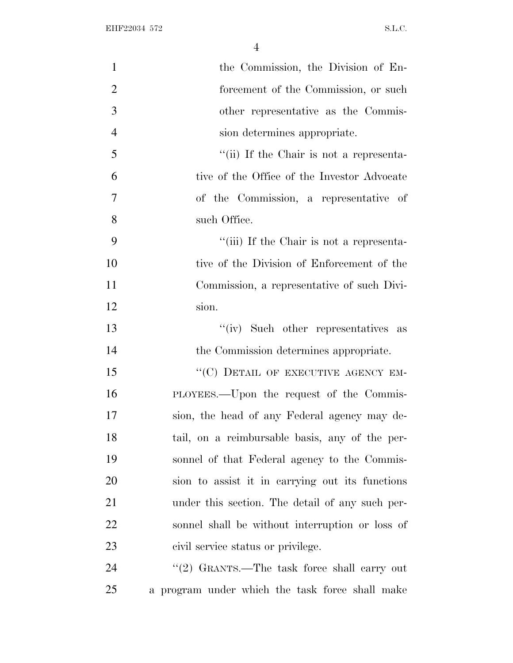| $\mathbf{1}$   | the Commission, the Division of En-             |
|----------------|-------------------------------------------------|
| $\overline{2}$ | forcement of the Commission, or such            |
| 3              | other representative as the Commis-             |
| $\overline{4}$ | sion determines appropriate.                    |
| 5              | "(ii) If the Chair is not a representa-         |
| 6              | tive of the Office of the Investor Advocate     |
| 7              | of the Commission, a representative of          |
| 8              | such Office.                                    |
| 9              | "(iii) If the Chair is not a representa-        |
| 10             | tive of the Division of Enforcement of the      |
| 11             | Commission, a representative of such Divi-      |
| 12             | sion.                                           |
| 13             | "(iv) Such other representatives as             |
| 14             | the Commission determines appropriate.          |
| 15             | "(C) DETAIL OF EXECUTIVE AGENCY EM-             |
| 16             | PLOYEES.—Upon the request of the Commis-        |
| 17             | sion, the head of any Federal agency may de-    |
| 18             | tail, on a reimbursable basis, any of the per-  |
| 19             | sonnel of that Federal agency to the Commis-    |
| 20             | sion to assist it in carrying out its functions |
| 21             | under this section. The detail of any such per- |
| 22             | sonnel shall be without interruption or loss of |
| 23             | civil service status or privilege.              |
| 24             | "(2) GRANTS.—The task force shall carry out     |
| 25             | a program under which the task force shall make |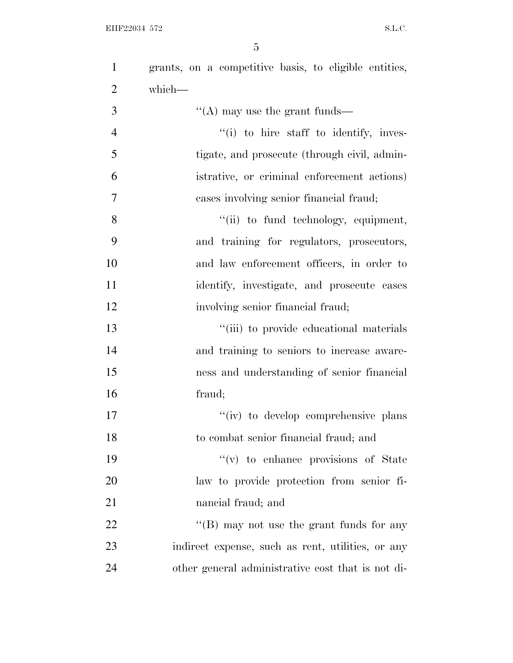EHF22034 572 S.L.C.

 grants, on a competitive basis, to eligible entities, which—  $\mathcal{S}$  ''(A) may use the grant funds—  $''(i)$  to hire staff to identify, inves- tigate, and prosecute (through civil, admin- istrative, or criminal enforcement actions) cases involving senior financial fraud; 8 "(ii) to fund technology, equipment, and training for regulators, prosecutors, and law enforcement officers, in order to identify, investigate, and prosecute cases involving senior financial fraud;  $\frac{1}{2}$  ''(iii) to provide educational materials and training to seniors to increase aware- ness and understanding of senior financial fraud;  $''(iv)$  to develop comprehensive plans to combat senior financial fraud; and ''(v) to enhance provisions of State law to provide protection from senior fi- nancial fraud; and 22 "'(B) may not use the grant funds for any indirect expense, such as rent, utilities, or any

other general administrative cost that is not di-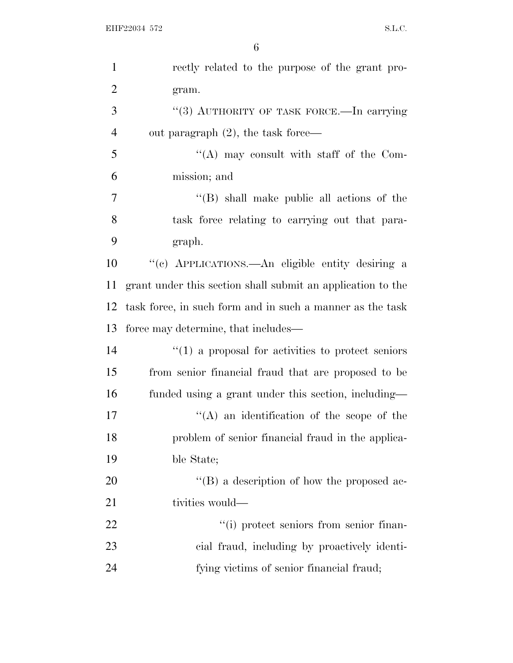| $\mathbf{1}$   | rectly related to the purpose of the grant pro-                   |
|----------------|-------------------------------------------------------------------|
| $\overline{2}$ | gram.                                                             |
| 3              | "(3) AUTHORITY OF TASK FORCE.—In carrying                         |
| $\overline{4}$ | out paragraph $(2)$ , the task force—                             |
| 5              | $\lq\lq$ may consult with staff of the Com-                       |
| 6              | mission; and                                                      |
| 7              | $\lq\lq$ (B) shall make public all actions of the                 |
| 8              | task force relating to carrying out that para-                    |
| 9              | graph.                                                            |
| 10             | "(c) APPLICATIONS.—An eligible entity desiring a                  |
| 11             | grant under this section shall submit an application to the       |
| 12             | task force, in such form and in such a manner as the task         |
| 13             | force may determine, that includes—                               |
| 14             | $\cdot\cdot\cdot(1)$ a proposal for activities to protect seniors |
| 15             | from senior financial fraud that are proposed to be               |
| 16             | funded using a grant under this section, including—               |
| 17             | $\lq\lq$ an identification of the scope of the                    |
| 18             | problem of senior financial fraud in the applica-                 |
| 19             | ble State;                                                        |
| 20             | $\lq\lq (B)$ a description of how the proposed ac-                |
| 21             | tivities would—                                                   |
|                |                                                                   |
| 22             | "(i) protect seniors from senior finan-                           |
| 23             | cial fraud, including by proactively identi-                      |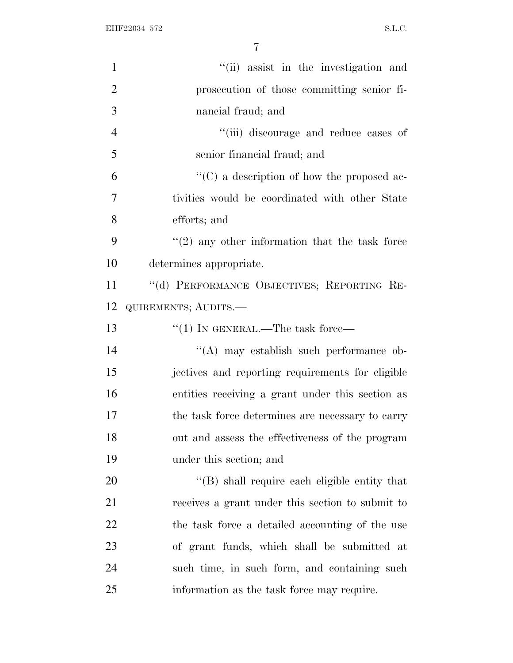EHF22034 572 S.L.C.

| $\mathbf{1}$   | "(ii) assist in the investigation and              |
|----------------|----------------------------------------------------|
| $\overline{2}$ | prosecution of those committing senior fi-         |
| 3              | nancial fraud; and                                 |
| $\overline{4}$ | "(iii) discourage and reduce cases of              |
| 5              | senior financial fraud; and                        |
| 6              | $\lq\lq$ (C) a description of how the proposed ac- |
| 7              | tivities would be coordinated with other State     |
| 8              | efforts; and                                       |
| 9              | $f'(2)$ any other information that the task force  |
| 10             | determines appropriate.                            |
| 11             | "(d) PERFORMANCE OBJECTIVES; REPORTING RE-         |
| 12             | QUIREMENTS; AUDITS.-                               |
| 13             | "(1) IN GENERAL.—The task force—                   |
| 14             | "(A) may establish such performance ob-            |
| 15             | jectives and reporting requirements for eligible   |
| 16             | entities receiving a grant under this section as   |
| 17             | the task force determines are necessary to carry   |
| 18             | out and assess the effectiveness of the program    |
| 19             | under this section; and                            |
| 20             | "(B) shall require each eligible entity that       |
| 21             | receives a grant under this section to submit to   |
| 22             | the task force a detailed accounting of the use    |
| 23             | of grant funds, which shall be submitted at        |
| 24             | such time, in such form, and containing such       |
| 25             | information as the task force may require.         |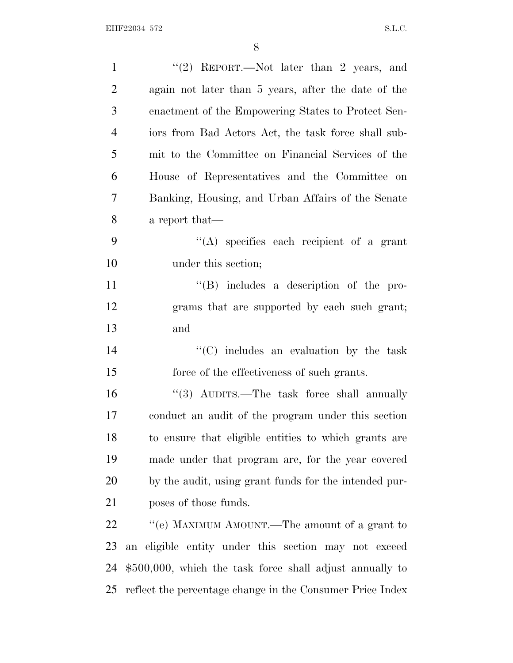| $\mathbf{1}$   | "(2) REPORT.—Not later than 2 years, and                   |
|----------------|------------------------------------------------------------|
| $\overline{2}$ | again not later than 5 years, after the date of the        |
| 3              | enactment of the Empowering States to Protect Sen-         |
| $\overline{4}$ | iors from Bad Actors Act, the task force shall sub-        |
| 5              | mit to the Committee on Financial Services of the          |
| 6              | House of Representatives and the Committee on              |
| 7              | Banking, Housing, and Urban Affairs of the Senate          |
| 8              | a report that—                                             |
| 9              | $\lq\lq$ specifies each recipient of a grant               |
| 10             | under this section;                                        |
| 11             | $\lq\lq (B)$ includes a description of the pro-            |
| 12             | grams that are supported by each such grant;               |
| 13             | and                                                        |
| 14             | $"$ (C) includes an evaluation by the task                 |
| 15             | force of the effectiveness of such grants.                 |
| 16             | " $(3)$ AUDITS.—The task force shall annually              |
| 17             | conduct an audit of the program under this section         |
| 18             | to ensure that eligible entities to which grants are       |
| 19             | made under that program are, for the year covered          |
| 20             | by the audit, using grant funds for the intended pur-      |
| 21             | poses of those funds.                                      |
| 22             | "(e) MAXIMUM AMOUNT.—The amount of a grant to              |
| 23             | an eligible entity under this section may not exceed       |
| 24             | $$500,000$ , which the task force shall adjust annually to |
| 25             | reflect the percentage change in the Consumer Price Index  |